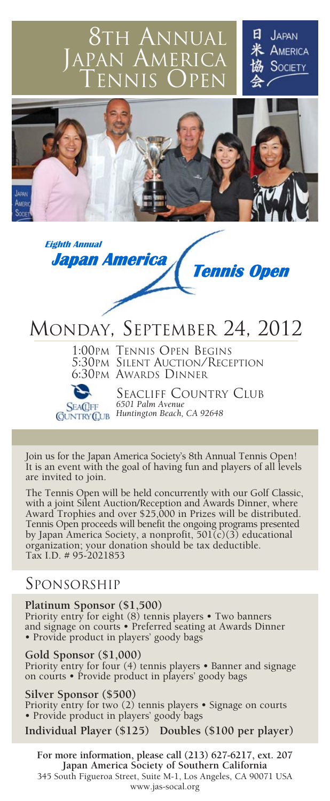## 8TH ANNUAL  $AMFRICA$ TENNIS OPEN

**JAPAN** AMERICA SOCIETY





# MONDAY, SEPTEMBER 24, 2012

1:00PM TENNIS OPEN BEGINS 5:30PM SILENT AUCTION/RECEPTION 6:30PM AWARDS DINNER

**SEACIFF** 

SEACLIFF COUNTRY CLUB<br>6501 Palm Avenue *6501 Palm Avenue Huntington Beach, CA 92648*

Join us for the Japan America Society's 8th Annual Tennis Open! It is an event with the goal of having fun and players of all levels are invited to join.

The Tennis Open will be held concurrently with our Golf Classic, with a joint Silent Auction/Reception and Awards Dinner, where Award Trophies and over \$25,000 in Prizes will be distributed. Tennis Open proceeds will benefit the ongoing programs presented by Japan America Society, a nonprofit, 501(c)(3) educational organization; your donation should be tax deductible. Tax I.D. # 95-2021853

### SPONSORSHIP

#### **Platinum Sponsor (\$1,500)**

Priority entry for eight (8) tennis players • Two banners and signage on courts • Preferred seating at Awards Dinner • Provide product in players' goody bags

#### **Gold Sponsor (\$1,000)**

Priority entry for four (4) tennis players • Banner and signage on courts • Provide product in players' goody bags

#### **Silver Sponsor (\$500)**

Priority entry for two (2) tennis players • Signage on courts • Provide product in players' goody bags

**Individual Player (\$125) Doubles (\$100 per player)**

**For more information, please call (213) 627-6217, ext. 207 Japan America Society of Southern California** 345 South Figueroa Street, Suite M-1, Los Angeles, CA 90071 USA www.jas-socal.org